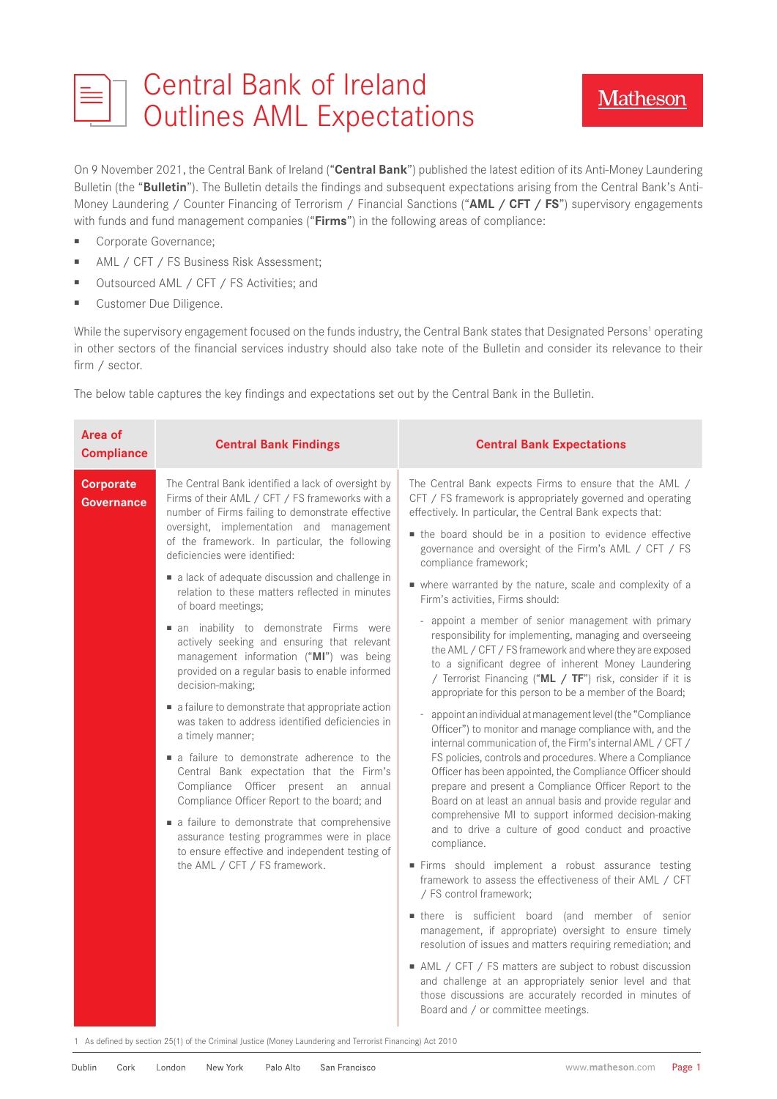|  | ET Central Bank of Ireland<br>Outlines AML Expectations |
|--|---------------------------------------------------------|

**Matheson** 

On 9 November 2021, the Central Bank of Ireland ("**Central Bank**") published the latest edition of its Anti-Money Laundering Bulletin (the "**Bulletin**"). The Bulletin details the findings and subsequent expectations arising from the Central Bank's Anti-Money Laundering / Counter Financing of Terrorism / Financial Sanctions ("**AML / CFT / FS**") supervisory engagements with funds and fund management companies ("**Firms**") in the following areas of compliance:

- Corporate Governance:
- AML / CFT / FS Business Risk Assessment;
- Outsourced AML / CFT / FS Activities; and
- Customer Due Diligence.

While the supervisory engagement focused on the funds industry, the Central Bank states that Designated Persons<sup>1</sup> operating in other sectors of the financial services industry should also take note of the Bulletin and consider its relevance to their firm / sector.

The below table captures the key findings and expectations set out by the Central Bank in the Bulletin.

| Area of<br><b>Compliance</b>          | <b>Central Bank Findings</b>                                                                                                                                                                           | <b>Central Bank Expectations</b>                                                                                                                                                                                                                                                                                                                                                                                                                                                                                                                                    |
|---------------------------------------|--------------------------------------------------------------------------------------------------------------------------------------------------------------------------------------------------------|---------------------------------------------------------------------------------------------------------------------------------------------------------------------------------------------------------------------------------------------------------------------------------------------------------------------------------------------------------------------------------------------------------------------------------------------------------------------------------------------------------------------------------------------------------------------|
| <b>Corporate</b><br><b>Governance</b> | The Central Bank identified a lack of oversight by<br>Firms of their AML / CFT / FS frameworks with a<br>number of Firms failing to demonstrate effective<br>oversight, implementation and management  | The Central Bank expects Firms to ensure that the AML /<br>CFT / FS framework is appropriately governed and operating<br>effectively. In particular, the Central Bank expects that:                                                                                                                                                                                                                                                                                                                                                                                 |
|                                       | of the framework. In particular, the following<br>deficiencies were identified:                                                                                                                        | • the board should be in a position to evidence effective<br>governance and oversight of the Firm's AML / CFT / FS<br>compliance framework;                                                                                                                                                                                                                                                                                                                                                                                                                         |
|                                       | a lack of adequate discussion and challenge in<br>relation to these matters reflected in minutes<br>of board meetings;                                                                                 | • where warranted by the nature, scale and complexity of a<br>Firm's activities, Firms should:                                                                                                                                                                                                                                                                                                                                                                                                                                                                      |
|                                       | an inability to demonstrate Firms were<br>actively seeking and ensuring that relevant<br>management information ("MI") was being<br>provided on a regular basis to enable informed<br>decision-making; | appoint a member of senior management with primary<br>responsibility for implementing, managing and overseeing<br>the AML / CFT / FS framework and where they are exposed<br>to a significant degree of inherent Money Laundering<br>/ Terrorist Financing ("ML / TF") risk, consider if it is<br>appropriate for this person to be a member of the Board;                                                                                                                                                                                                          |
|                                       | a failure to demonstrate that appropriate action<br>was taken to address identified deficiencies in<br>a timely manner;                                                                                | appoint an individual at management level (the "Compliance<br>Officer") to monitor and manage compliance with, and the<br>internal communication of, the Firm's internal AML / CFT /<br>FS policies, controls and procedures. Where a Compliance<br>Officer has been appointed, the Compliance Officer should<br>prepare and present a Compliance Officer Report to the<br>Board on at least an annual basis and provide regular and<br>comprehensive MI to support informed decision-making<br>and to drive a culture of good conduct and proactive<br>compliance. |
|                                       | a failure to demonstrate adherence to the<br>Central Bank expectation that the Firm's<br>Compliance Officer present an annual<br>Compliance Officer Report to the board; and                           |                                                                                                                                                                                                                                                                                                                                                                                                                                                                                                                                                                     |
|                                       | • a failure to demonstrate that comprehensive<br>assurance testing programmes were in place<br>to ensure effective and independent testing of                                                          |                                                                                                                                                                                                                                                                                                                                                                                                                                                                                                                                                                     |
|                                       | the AML / CFT / FS framework.                                                                                                                                                                          | Firms should implement a robust assurance testing<br>framework to assess the effectiveness of their AML / CFT<br>/ FS control framework;                                                                                                                                                                                                                                                                                                                                                                                                                            |
|                                       |                                                                                                                                                                                                        | there is sufficient board (and member of senior<br>management, if appropriate) oversight to ensure timely<br>resolution of issues and matters requiring remediation; and                                                                                                                                                                                                                                                                                                                                                                                            |
|                                       |                                                                                                                                                                                                        | AML / CFT / FS matters are subject to robust discussion<br>and challenge at an appropriately senior level and that<br>those discussions are accurately recorded in minutes of<br>Board and / or committee meetings.                                                                                                                                                                                                                                                                                                                                                 |

1 As defined by section 25(1) of the Criminal Justice (Money Laundering and Terrorist Financing) Act 2010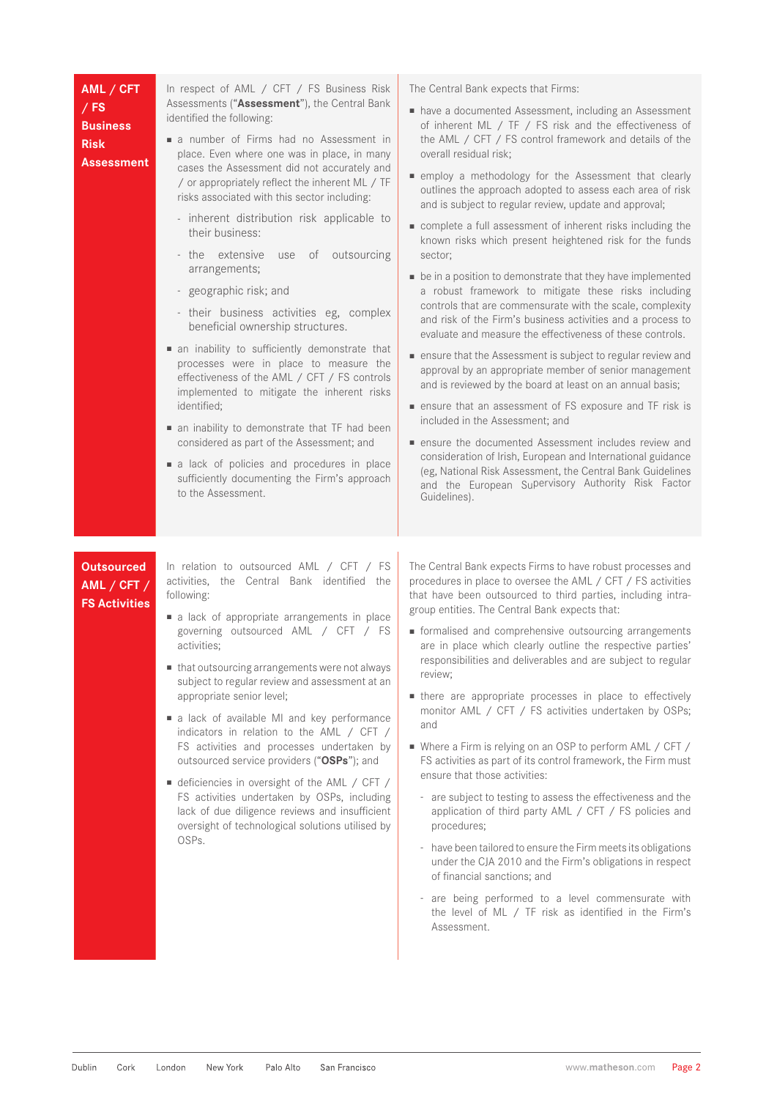| AML / CFT<br>$/$ FS<br><b>Business</b><br><b>Risk</b><br>Assessment | In respect of AML / CFT / FS Business Risk<br>Assessments ("Assessment"), the Central Bank<br>identified the following:<br>a number of Firms had no Assessment in<br>place. Even where one was in place, in many<br>cases the Assessment did not accurately and<br>/ or appropriately reflect the inherent ML / TF<br>risks associated with this sector including:<br>- inherent distribution risk applicable to<br>their business:<br>of outsourcing<br>- the extensive<br>use<br>arrangements;<br>- geographic risk; and<br>- their business activities eg, complex<br>beneficial ownership structures.<br>• an inability to sufficiently demonstrate that<br>processes were in place to measure the<br>effectiveness of the AML / CFT / FS controls<br>implemented to mitigate the inherent risks<br>identified;<br>an inability to demonstrate that TF had been<br>considered as part of the Assessment; and<br>a lack of policies and procedures in place<br>sufficiently documenting the Firm's approach<br>to the Assessment. | The Central Bank expects that Firms:<br>nave a documented Assessment, including an Assessment<br>of inherent ML / TF / FS risk and the effectiveness of<br>the AML / CFT / FS control framework and details of the<br>overall residual risk;<br>■ employ a methodology for the Assessment that clearly<br>outlines the approach adopted to assess each area of risk<br>and is subject to regular review, update and approval;<br>complete a full assessment of inherent risks including the<br>known risks which present heightened risk for the funds<br>sector;<br>• be in a position to demonstrate that they have implemented<br>a robust framework to mitigate these risks including<br>controls that are commensurate with the scale, complexity<br>and risk of the Firm's business activities and a process to<br>evaluate and measure the effectiveness of these controls.<br>■ ensure that the Assessment is subject to regular review and<br>approval by an appropriate member of senior management<br>and is reviewed by the board at least on an annual basis;<br>■ ensure that an assessment of FS exposure and TF risk is<br>included in the Assessment; and<br>ensure the documented Assessment includes review and<br>consideration of Irish, European and International guidance<br>(eg, National Risk Assessment, the Central Bank Guidelines<br>and the European Supervisory Authority Risk Factor<br>Guidelines). |
|---------------------------------------------------------------------|--------------------------------------------------------------------------------------------------------------------------------------------------------------------------------------------------------------------------------------------------------------------------------------------------------------------------------------------------------------------------------------------------------------------------------------------------------------------------------------------------------------------------------------------------------------------------------------------------------------------------------------------------------------------------------------------------------------------------------------------------------------------------------------------------------------------------------------------------------------------------------------------------------------------------------------------------------------------------------------------------------------------------------------|---------------------------------------------------------------------------------------------------------------------------------------------------------------------------------------------------------------------------------------------------------------------------------------------------------------------------------------------------------------------------------------------------------------------------------------------------------------------------------------------------------------------------------------------------------------------------------------------------------------------------------------------------------------------------------------------------------------------------------------------------------------------------------------------------------------------------------------------------------------------------------------------------------------------------------------------------------------------------------------------------------------------------------------------------------------------------------------------------------------------------------------------------------------------------------------------------------------------------------------------------------------------------------------------------------------------------------------------------------------------------------------------------------------------------------------|
| <b>Outsourced</b><br>AML / CFT /<br><b>FS Activities</b>            | In relation to outsourced AML / CFT / FS<br>activities, the Central Bank identified the<br>following:<br>a lack of appropriate arrangements in place<br>governing outsourced AML / CFT / FS<br>activities;<br>that outsourcing arrangements were not always<br>subject to regular review and assessment at an<br>appropriate senior level;<br>a lack of available MI and key performance<br>indicators in relation to the AML / CFT /<br>FS activities and processes undertaken by<br>outsourced service providers ("OSPs"); and<br>■ deficiencies in oversight of the AML / CFT /<br>FS activities undertaken by OSPs, including<br>lack of due diligence reviews and insufficient<br>oversight of technological solutions utilised by<br>OSPs.                                                                                                                                                                                                                                                                                     | The Central Bank expects Firms to have robust processes and<br>procedures in place to oversee the AML / CFT / FS activities<br>that have been outsourced to third parties, including intra-<br>group entities. The Central Bank expects that:<br>• formalised and comprehensive outsourcing arrangements<br>are in place which clearly outline the respective parties'<br>responsibilities and deliverables and are subject to regular<br>review;<br>there are appropriate processes in place to effectively<br>monitor AML / CFT / FS activities undertaken by OSPs;<br>and<br>■ Where a Firm is relying on an OSP to perform AML / CFT /<br>FS activities as part of its control framework, the Firm must<br>ensure that those activities:<br>- are subject to testing to assess the effectiveness and the<br>application of third party AML / CFT / FS policies and<br>procedures;<br>- have been tailored to ensure the Firm meets its obligations<br>under the CJA 2010 and the Firm's obligations in respect<br>of financial sanctions; and<br>- are being performed to a level commensurate with                                                                                                                                                                                                                                                                                                                               |

the level of ML / TF risk as identified in the Firm's

Assessment.